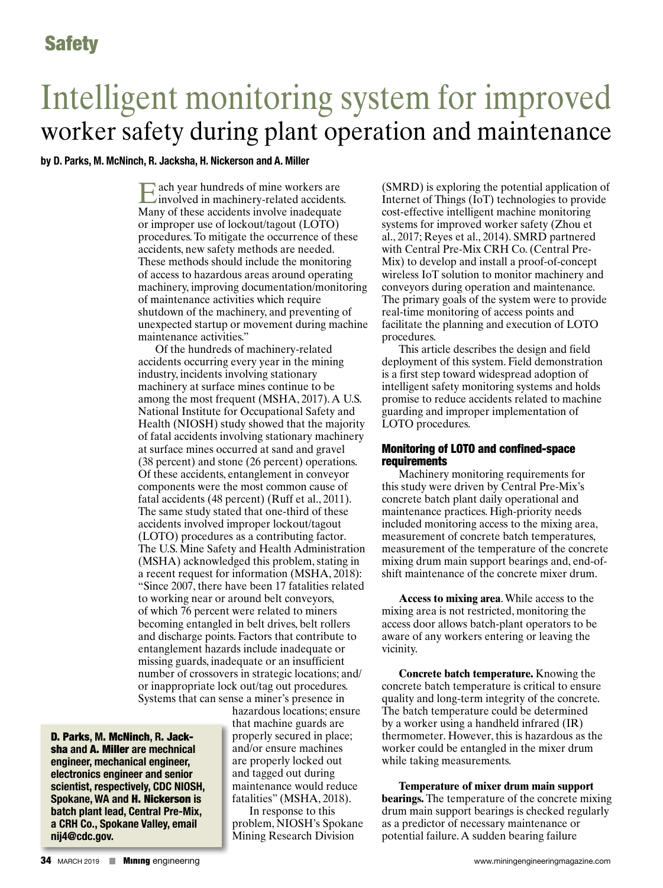# Intelligent monitoring system for improved worker safety during plant operation and maintenance

#### **by D. Parks, M. McNinch, R. Jacksha, H. Nickerson and A. Miller**

Each year hundreds of mine workers are involved in machinery-related accidents. Many of these accidents involve inadequate or improper use of lockout/tagout (LOTO) procedures. To mitigate the occurrence of these accidents, new safety methods are needed. These methods should include the monitoring of access to hazardous areas around operating machinery, improving documentation/monitoring of maintenance activities which require shutdown of the machinery, and preventing of unexpected startup or movement during machine maintenance activities."

Of the hundreds of machinery-related accidents occurring every year in the mining industry, incidents involving stationary machinery at surface mines continue to be among the most frequent (MSHA, 2017). A U.S. National Institute for Occupational Safety and Health (NIOSH) study showed that the majority of fatal accidents involving stationary machinery at surface mines occurred at sand and gravel (38 percent) and stone (26 percent) operations. Of these accidents, entanglement in conveyor components were the most common cause of fatal accidents (48 percent) (Ruff et al., 2011). The same study stated that one-third of these accidents involved improper lockout/tagout (LOTO) procedures as a contributing factor. The U.S. Mine Safety and Health Administration (MSHA) acknowledged this problem, stating in a recent request for information (MSHA, 2018): "Since 2007, there have been 17 fatalities related to working near or around belt conveyors, of which 76 percent were related to miners becoming entangled in belt drives, belt rollers and discharge points. Factors that contribute to entanglement hazards include inadequate or missing guards, inadequate or an insufficient number of crossovers in strategic locations; and/ or inappropriate lock out/tag out procedures. Systems that can sense a miner's presence in

D. Parks**, M**. McNinch**, R**. Jacksha **and** A. Miller **are mechnical engineer, mechanical engineer, electronics engineer and senior scientist, respectively, CDC NIOSH, Spokane, WA and** H. Nickerson **is batch plant lead, Central Pre-Mix, a CRH Co., Spokane Valley, email nij4@cdc.gov.**

hazardous locations; ensure that machine guards are properly secured in place; and/or ensure machines are properly locked out and tagged out during maintenance would reduce fatalities" (MSHA, 2018).

In response to this problem, NIOSH's Spokane Mining Research Division

(SMRD) is exploring the potential application of Internet of Things (IoT) technologies to provide cost-effective intelligent machine monitoring systems for improved worker safety (Zhou et al., 2017; Reyes et al., 2014). SMRD partnered with Central Pre-Mix CRH Co. (Central Pre-Mix) to develop and install a proof-of-concept wireless IoT solution to monitor machinery and conveyors during operation and maintenance. The primary goals of the system were to provide real-time monitoring of access points and facilitate the planning and execution of LOTO procedures.

This article describes the design and field deployment of this system. Field demonstration is a first step toward widespread adoption of intelligent safety monitoring systems and holds promise to reduce accidents related to machine guarding and improper implementation of LOTO procedures.

#### Monitoring of LOTO and confined-space requirements

Machinery monitoring requirements for this study were driven by Central Pre-Mix's concrete batch plant daily operational and maintenance practices. High-priority needs included monitoring access to the mixing area, measurement of concrete batch temperatures, measurement of the temperature of the concrete mixing drum main support bearings and, end-ofshift maintenance of the concrete mixer drum.

**Access to mixing area**. While access to the mixing area is not restricted, monitoring the access door allows batch-plant operators to be aware of any workers entering or leaving the vicinity.

**Concrete batch temperature.** Knowing the concrete batch temperature is critical to ensure quality and long-term integrity of the concrete. The batch temperature could be determined by a worker using a handheld infrared (IR) thermometer. However, this is hazardous as the worker could be entangled in the mixer drum while taking measurements.

**Temperature of mixer drum main support bearings.** The temperature of the concrete mixing drum main support bearings is checked regularly as a predictor of necessary maintenance or potential failure. A sudden bearing failure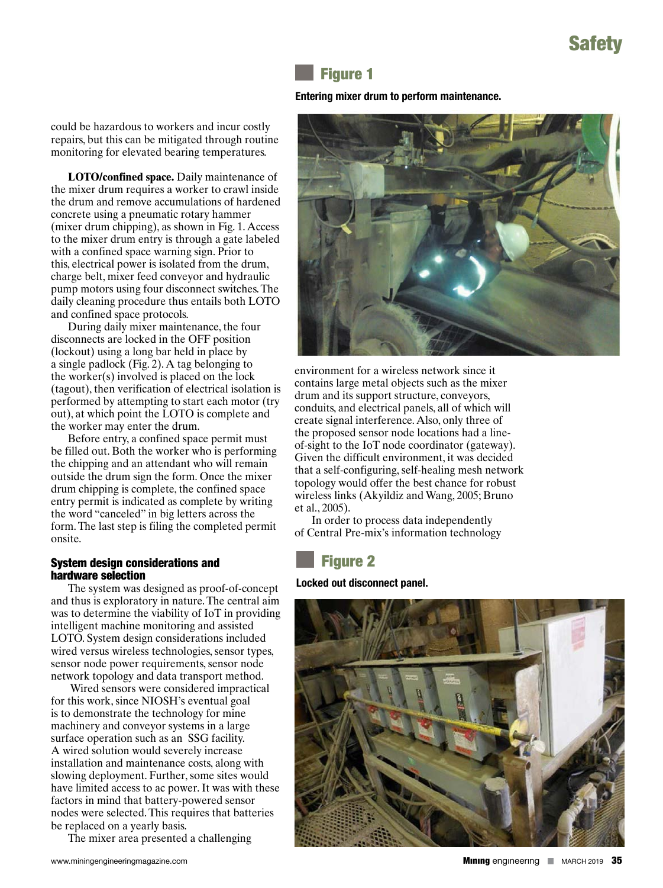# Safety

### Figure 1

#### **Entering mixer drum to perform maintenance.**

could be hazardous to workers and incur costly repairs, but this can be mitigated through routine monitoring for elevated bearing temperatures.

**LOTO/confined space.** Daily maintenance of the mixer drum requires a worker to crawl inside the drum and remove accumulations of hardened concrete using a pneumatic rotary hammer (mixer drum chipping), as shown in Fig. 1. Access to the mixer drum entry is through a gate labeled with a confined space warning sign. Prior to this, electrical power is isolated from the drum, charge belt, mixer feed conveyor and hydraulic pump motors using four disconnect switches. The daily cleaning procedure thus entails both LOTO and confined space protocols.

During daily mixer maintenance, the four disconnects are locked in the OFF position (lockout) using a long bar held in place by a single padlock (Fig. 2). A tag belonging to the worker(s) involved is placed on the lock (tagout), then verification of electrical isolation is performed by attempting to start each motor (try out), at which point the LOTO is complete and the worker may enter the drum.

Before entry, a confined space permit must be filled out. Both the worker who is performing the chipping and an attendant who will remain outside the drum sign the form. Once the mixer drum chipping is complete, the confined space entry permit is indicated as complete by writing the word "canceled" in big letters across the form. The last step is filing the completed permit onsite.

#### System design considerations and hardware selection

The system was designed as proof-of-concept and thus is exploratory in nature. The central aim was to determine the viability of IoT in providing intelligent machine monitoring and assisted LOTO. System design considerations included wired versus wireless technologies, sensor types, sensor node power requirements, sensor node network topology and data transport method.

 Wired sensors were considered impractical for this work, since NIOSH's eventual goal is to demonstrate the technology for mine machinery and conveyor systems in a large surface operation such as an SSG facility. A wired solution would severely increase installation and maintenance costs, along with slowing deployment. Further, some sites would have limited access to ac power. It was with these factors in mind that battery-powered sensor nodes were selected. This requires that batteries be replaced on a yearly basis.

The mixer area presented a challenging



environment for a wireless network since it contains large metal objects such as the mixer drum and its support structure, conveyors, conduits, and electrical panels, all of which will create signal interference. Also, only three of the proposed sensor node locations had a lineof-sight to the IoT node coordinator (gateway). Given the difficult environment, it was decided that a self-configuring, self-healing mesh network topology would offer the best chance for robust wireless links (Akyildiz and Wang, 2005; Bruno et al., 2005).

In order to process data independently of Central Pre-mix's information technology

# Figure 2

**Locked out disconnect panel.**

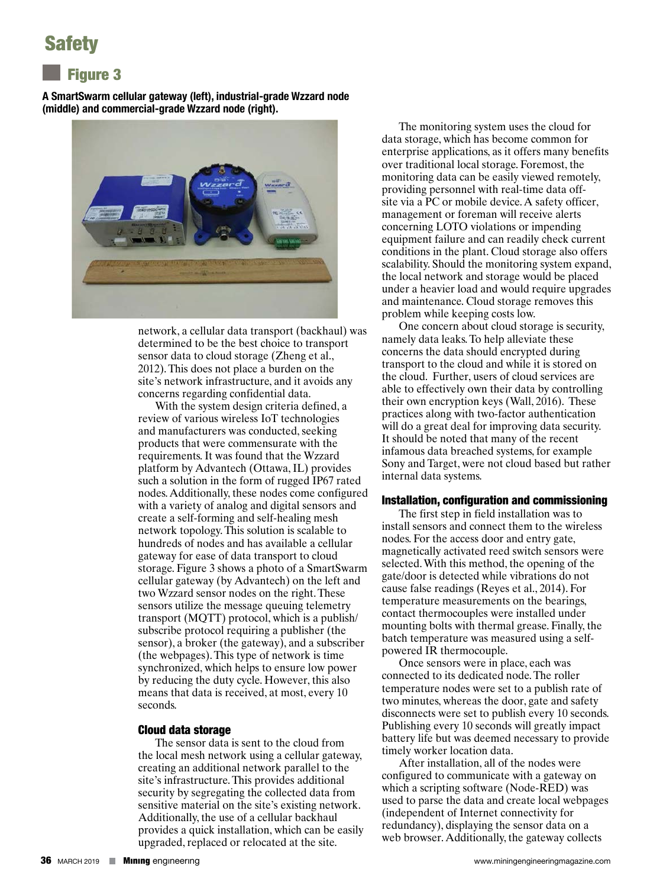# Safety

### Figure 3

**A SmartSwarm cellular gateway (left), industrial-grade Wzzard node (middle) and commercial-grade Wzzard node (right).**



network, a cellular data transport (backhaul) was determined to be the best choice to transport sensor data to cloud storage (Zheng et al., 2012). This does not place a burden on the site's network infrastructure, and it avoids any concerns regarding confidential data.

With the system design criteria defined, a review of various wireless IoT technologies and manufacturers was conducted, seeking products that were commensurate with the requirements. It was found that the Wzzard platform by Advantech (Ottawa, IL) provides such a solution in the form of rugged IP67 rated nodes. Additionally, these nodes come configured with a variety of analog and digital sensors and create a self-forming and self-healing mesh network topology. This solution is scalable to hundreds of nodes and has available a cellular gateway for ease of data transport to cloud storage. Figure 3 shows a photo of a SmartSwarm cellular gateway (by Advantech) on the left and two Wzzard sensor nodes on the right. These sensors utilize the message queuing telemetry transport (MQTT) protocol, which is a publish/ subscribe protocol requiring a publisher (the sensor), a broker (the gateway), and a subscriber (the webpages). This type of network is time synchronized, which helps to ensure low power by reducing the duty cycle. However, this also means that data is received, at most, every 10 seconds.

#### Cloud data storage

The sensor data is sent to the cloud from the local mesh network using a cellular gateway, creating an additional network parallel to the site's infrastructure. This provides additional security by segregating the collected data from sensitive material on the site's existing network. Additionally, the use of a cellular backhaul provides a quick installation, which can be easily upgraded, replaced or relocated at the site.

The monitoring system uses the cloud for data storage, which has become common for enterprise applications, as it offers many benefits over traditional local storage. Foremost, the monitoring data can be easily viewed remotely, providing personnel with real-time data offsite via a PC or mobile device. A safety officer, management or foreman will receive alerts concerning LOTO violations or impending equipment failure and can readily check current conditions in the plant. Cloud storage also offers scalability. Should the monitoring system expand, the local network and storage would be placed under a heavier load and would require upgrades and maintenance. Cloud storage removes this problem while keeping costs low.

One concern about cloud storage is security, namely data leaks. To help alleviate these concerns the data should encrypted during transport to the cloud and while it is stored on the cloud. Further, users of cloud services are able to effectively own their data by controlling their own encryption keys (Wall, 2016). These practices along with two-factor authentication will do a great deal for improving data security. It should be noted that many of the recent infamous data breached systems, for example Sony and Target, were not cloud based but rather internal data systems.

#### Installation, configuration and commissioning

The first step in field installation was to install sensors and connect them to the wireless nodes. For the access door and entry gate, magnetically activated reed switch sensors were selected. With this method, the opening of the gate/door is detected while vibrations do not cause false readings (Reyes et al., 2014). For temperature measurements on the bearings, contact thermocouples were installed under mounting bolts with thermal grease. Finally, the batch temperature was measured using a selfpowered IR thermocouple.

Once sensors were in place, each was connected to its dedicated node. The roller temperature nodes were set to a publish rate of two minutes, whereas the door, gate and safety disconnects were set to publish every 10 seconds. Publishing every 10 seconds will greatly impact battery life but was deemed necessary to provide timely worker location data.

After installation, all of the nodes were configured to communicate with a gateway on which a scripting software (Node-RED) was used to parse the data and create local webpages (independent of Internet connectivity for redundancy), displaying the sensor data on a web browser. Additionally, the gateway collects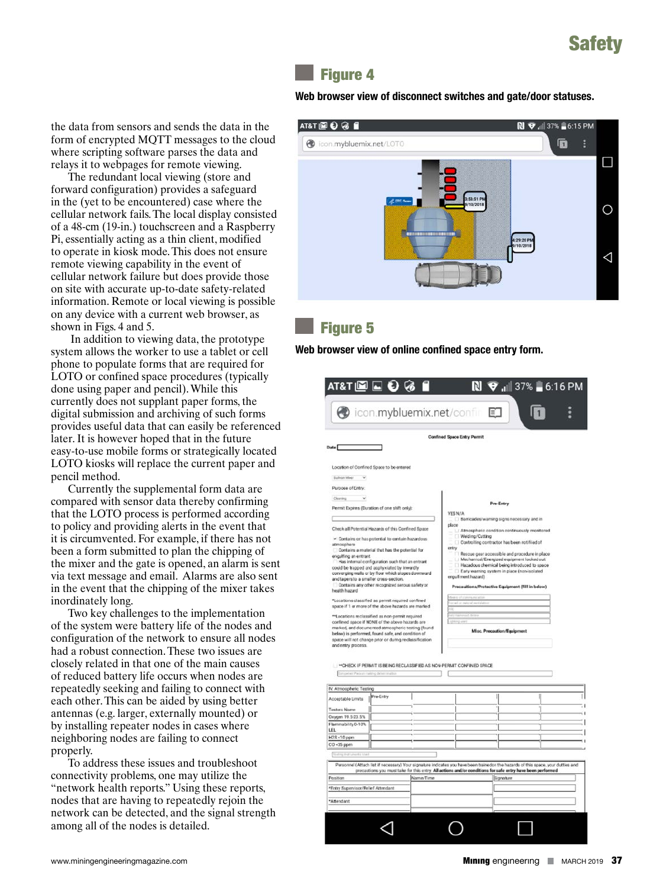# Safety

### Figure 4

**Web browser view of disconnect switches and gate/door statuses.**

the data from sensors and sends the data in the form of encrypted MQTT messages to the cloud where scripting software parses the data and relays it to webpages for remote viewing.

The redundant local viewing (store and forward configuration) provides a safeguard in the (yet to be encountered) case where the cellular network fails. The local display consisted of a 48-cm (19-in.) touchscreen and a Raspberry Pi, essentially acting as a thin client, modified to operate in kiosk mode. This does not ensure remote viewing capability in the event of cellular network failure but does provide those on site with accurate up-to-date safety-related information. Remote or local viewing is possible on any device with a current web browser, as shown in Figs. 4 and 5.

 In addition to viewing data, the prototype system allows the worker to use a tablet or cell phone to populate forms that are required for LOTO or confined space procedures (typically done using paper and pencil). While this currently does not supplant paper forms, the digital submission and archiving of such forms provides useful data that can easily be referenced later. It is however hoped that in the future easy-to-use mobile forms or strategically located LOTO kiosks will replace the current paper and pencil method.

Currently the supplemental form data are compared with sensor data thereby confirming that the LOTO process is performed according to policy and providing alerts in the event that it is circumvented. For example, if there has not been a form submitted to plan the chipping of the mixer and the gate is opened, an alarm is sent via text message and email. Alarms are also sent in the event that the chipping of the mixer takes inordinately long.

Two key challenges to the implementation of the system were battery life of the nodes and configuration of the network to ensure all nodes had a robust connection. These two issues are closely related in that one of the main causes of reduced battery life occurs when nodes are repeatedly seeking and failing to connect with each other. This can be aided by using better antennas (e.g. larger, externally mounted) or by installing repeater nodes in cases where neighboring nodes are failing to connect properly.

To address these issues and troubleshoot connectivity problems, one may utilize the "network health reports." Using these reports, nodes that are having to repeatedly rejoin the network can be detected, and the signal strength among all of the nodes is detailed.



## Figure 5

**Web browser view of online confined space entry form.**

|                                                                                                                                  |           |           | <b>Confined Space Entry Permit</b>                                                                                                |  |
|----------------------------------------------------------------------------------------------------------------------------------|-----------|-----------|-----------------------------------------------------------------------------------------------------------------------------------|--|
| Date <sup>T</sup>                                                                                                                |           |           |                                                                                                                                   |  |
|                                                                                                                                  |           |           |                                                                                                                                   |  |
| Location of Confined Space to be entered                                                                                         |           |           |                                                                                                                                   |  |
| Sulivan Mier V                                                                                                                   |           |           |                                                                                                                                   |  |
| Purpose of Entry:                                                                                                                |           |           |                                                                                                                                   |  |
| Clearing                                                                                                                         |           |           | Pre-Entry                                                                                                                         |  |
| Permit Expires (Duration of one shift only):                                                                                     |           |           | YES N/A                                                                                                                           |  |
|                                                                                                                                  |           |           | Barricades/warning signs necessary and in                                                                                         |  |
| Check all Potential Hazards of this Confined Space                                                                               |           |           | place<br>Atmospheric condition continuously monitored                                                                             |  |
| - Contains or has potential to contain hazardous                                                                                 |           |           | Welding/Cutting                                                                                                                   |  |
| atmosphere<br>Contains a material that has the potential for                                                                     |           |           | Controlling contractor has been notified of<br>entry                                                                              |  |
| engulfing an entrant                                                                                                             |           |           | Rescue gear accessible and procedure in place<br>Mechanical/Energized equipment looked out                                        |  |
| Has internal configuration such that an entrart<br>could be trapped and apphyxiated by inwardly.                                 |           |           | Hazadous chemical being introduced to space                                                                                       |  |
| converging walls or by floor which slopes downward                                                                               |           |           | El Early warning system in place (non-isolated<br>erguilment hazard)                                                              |  |
| and tapers to a smaller cross-section.<br>Contains any other recognized serous safety or                                         |           |           | Precauitions/Protective Equipment (Fill in below)                                                                                 |  |
| health hazard                                                                                                                    |           |           |                                                                                                                                   |  |
| *Locations classified as permit required confined<br>space if 1 or more of the above hazards are marked                          |           |           |                                                                                                                                   |  |
|                                                                                                                                  |           |           |                                                                                                                                   |  |
| **Locations reclassified as non-permit required<br>confined space if NONE of the above hazards are                               |           |           |                                                                                                                                   |  |
| marked, and documented atmospheric testing (found<br>below) is performed, found safe, and condition of                           |           |           | Misc. Precaution/Equipment                                                                                                        |  |
|                                                                                                                                  |           |           |                                                                                                                                   |  |
| space will not change prior or during reclassification                                                                           |           |           |                                                                                                                                   |  |
| and entry process.                                                                                                               |           |           |                                                                                                                                   |  |
|                                                                                                                                  |           |           |                                                                                                                                   |  |
|                                                                                                                                  |           |           | <b>WOHECK IF PERMIT IS BEING RECLASSIFIED AS NON-PERMIT CONFINED SPACE</b>                                                        |  |
| Conselect Person making determination                                                                                            |           |           |                                                                                                                                   |  |
|                                                                                                                                  |           |           |                                                                                                                                   |  |
|                                                                                                                                  | Pre-Entry |           |                                                                                                                                   |  |
|                                                                                                                                  |           |           |                                                                                                                                   |  |
|                                                                                                                                  |           |           |                                                                                                                                   |  |
|                                                                                                                                  |           |           |                                                                                                                                   |  |
| IV. Atmospheric Testing<br>Acceptable Limits<br>Testers Name<br>Oxygen 19.5-23.5%<br>Flammability 0-10%<br>LFL<br>$H2S < 10$ ppm |           |           |                                                                                                                                   |  |
| CO <35 ppm                                                                                                                       |           |           |                                                                                                                                   |  |
| <b>Bullive</b> the                                                                                                               |           |           |                                                                                                                                   |  |
|                                                                                                                                  |           |           | Personnel (Attach list if necessary) Your signature indicates you have been trainedon the hazards of this space, your dutties and |  |
|                                                                                                                                  |           |           | precautions you must take for this entry. All actions and/or conditions for safe entry have been performed                        |  |
|                                                                                                                                  |           | Name/Time | Signature                                                                                                                         |  |
| Position<br>*Entry Supervisor/Relief Attendant                                                                                   |           |           |                                                                                                                                   |  |